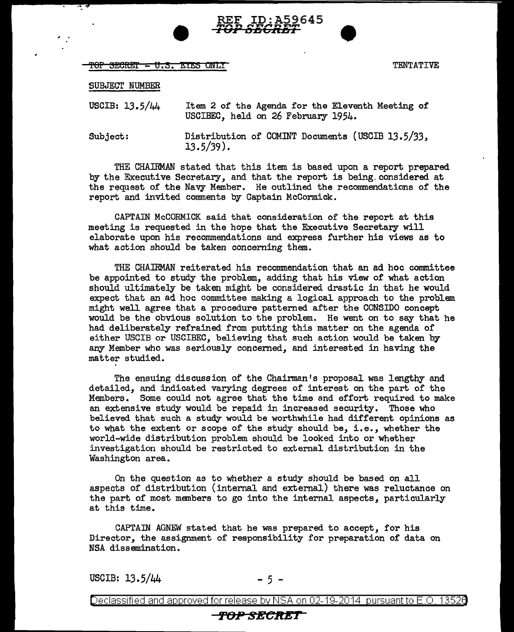# **REF ID:A59645**<br>TOP SECRET:<br>W TOP SECRET - U.S. ETES ONLY TENTATIVE

#### SUBJECT NUMBER

τ

USCIB: 13.5/44 Item 2 of the Agenda for the Eleventh Meeting of USCIBEC, held on 26 February 1954.

REF ID:A59645 ,,,.,,..,,. ... **ll""lf F.'9,.., ... 'F-9,,,.,** 

Subject: Distribution of COMINT Documents (USCIB 13.5/33,  $13.5/39$ ).

THE CHAIRMAN stated that this item is based upon a report prepared by the Executive Secretary, and that the report is being.considered at the request of the Navy Member. He outlined the recommendations of the report and invited comments by Captain McCormick.

CAPTAIN McCORMICK said that consideration of the report at this meeting is requested in the hope that the Executive Secretary will elaborate upon his recommendations and express further his views as to what action should be taken concerning them.

THE CHAIRMAN reiterated his recommendation that an ad hoc committee be appointed to study the problem, adding that his view of what action should ultimately be taken might be considered drastic in that he would expect that an ad hoc committee making a logical approach to the problem might well agree that a procedure patterned after the CONSIDO concept would be the obvious solution to the problem. He went on to say that he had deliberately refrained from putting this matter on the agenda of either USCIB or USCIBEC, believing that such action would be taken by any Member who was seriously concerned, and interested in having the matter studied.

The ensuing discussion of the Chairman's proposal was lengthy and detailed, and indicated varying degrees of interest on the part of the Members. Some could not agree that the time and effort required to make an extensive study would be repaid in increased security. Those who believed that such a study would be worthwhile had different opinions as to what the extent or scope of the study should be, i.e., whether the world-wide distribution problem should be looked into or whether investigation should be restricted to external distribution in the Washington area.

On the question as to whether a study should be based on all aspects of distribution (internal and external) there was reluctance on the part of most members to go into the internal aspects, particularly at this time.

CAPTAIN AGNEW stated that he was prepared to accept, for his Director, the assignment of responsibility for preparation of data on NSA dissemination.

USCIB:  $13.5/44$  - 5 -

Declassified and approved for release by NSA on 02-19-2014 pursuant to E.O. 13526

## **'l'fJP SBClfET**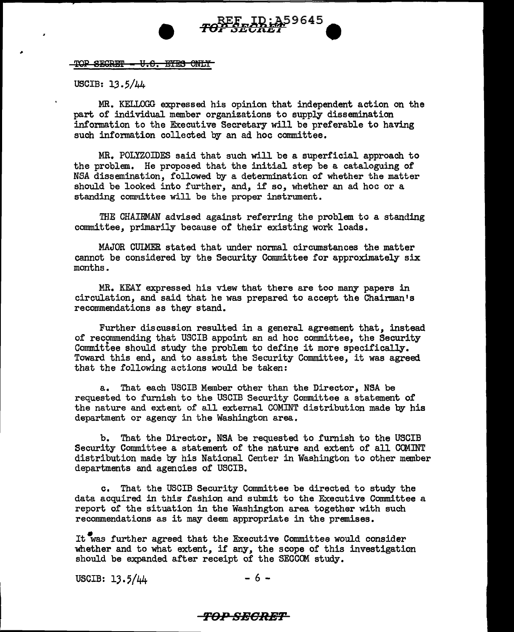

 $-$ TOP SECRET  $-$  U.S. EYES ONLY

USCIB: 13.5/44

MR. KELLOGG expressed his opinion that independent action on the part of individual member organizations to supply dissemination information to the Executive Secretary will be preferable to having such information collected by an ad hoc committee.

MR. PQLyzQIDES said that such will be a superficial approach to the problem. He proposed that the initial step be a cataloguing of NSA dissemination, followed by a determination of whether the matter should be looked into further, and, if *so,* whether an ad hoc or a standing committee will be the proper instrument.

THE CHAIRMAN advised against referring the problem to a standing committee, primarily because of their existing work loads.

MAJOR CUIMER stated that under normal circumstances the matter cannot be considered by the Security Committee for approximately six months.

MR. KEAY expressed his view that there are too many papers in circulation, and said that he was prepared to accept the Chairman's recommendations as they stand.

Further discussion resulted in a general agreement that, instead of recommending that USCIB appoint an ad hoc committee, the Security Committee should study the problem to define it more specifically. Toward this end, and to assist the Security Committee, it was agreed that the following actions would be taken:

a. That each USCIB Menber other than the Director, NSA be requested to furnish to the USCIB Security Committee a statement of the nature and extent of all external COMINT distribution made by his department or agency in the Washington area.

b. That the Director, NSA be requested to furnish to the USCIB Security Committee a statement of the nature and extent of all COMINT distribution made by his National Center in Washington to other member departments and agencies of USCIB.

c. That the USCIB Security Committee be directed to study the data acquired in this fashion and submit to the Executive Committee a report of the situation in the Washington area together with such recommendations as it may deem appropriate in the premises.

It was further agreed that the Executive Committee would consider whether and to what extent, if any, the scope of this investigation should be expanded after receipt of the SECCOM study.

USCIB:  $13.5/44$  - 6 -

### **f'OPSEGRET**